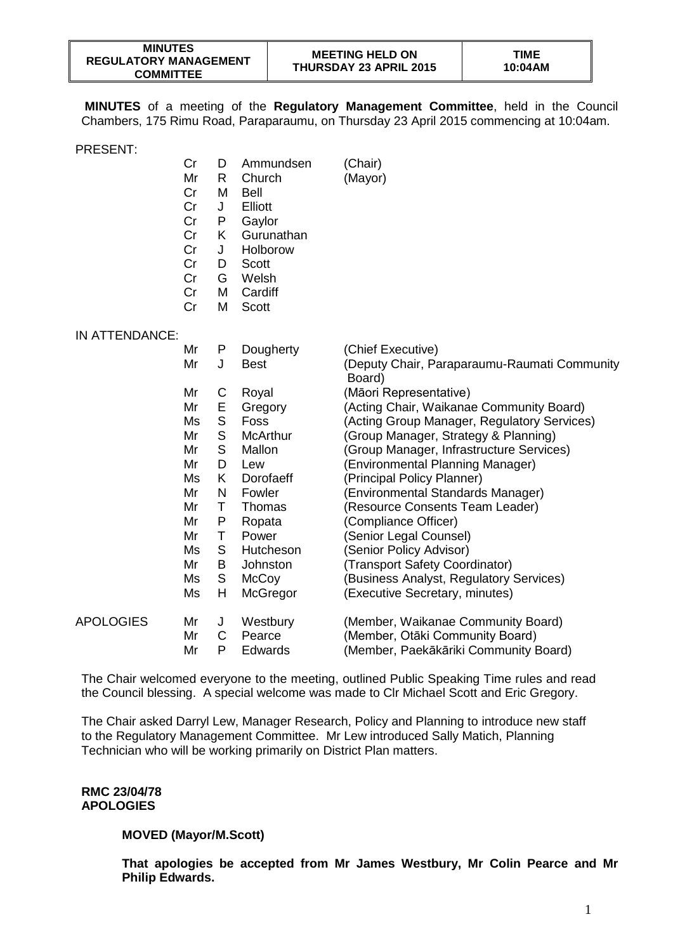| <b>MINUTES</b>               |  |  |  |  |  |
|------------------------------|--|--|--|--|--|
| <b>REGULATORY MANAGEMENT</b> |  |  |  |  |  |
| <b>COMMITTEE</b>             |  |  |  |  |  |

**MINUTES** of a meeting of the **Regulatory Management Committee**, held in the Council Chambers, 175 Rimu Road, Paraparaumu, on Thursday 23 April 2015 commencing at 10:04am.

PRESENT:

|                  | Cr<br>Mr<br>Cr<br>Cr<br>Cr<br>Cr<br>Cr<br>Cr<br>Cr<br>Cr<br>Cr | D<br>R<br>M<br>J<br>P<br>K<br>J<br>D<br>G<br>M<br>M | Ammundsen<br>Church<br><b>Bell</b><br>Elliott<br>Gaylor<br>Gurunathan<br>Holborow<br>Scott<br>Welsh<br>Cardiff<br>Scott | (Chair)<br>(Mayor)                                     |
|------------------|----------------------------------------------------------------|-----------------------------------------------------|-------------------------------------------------------------------------------------------------------------------------|--------------------------------------------------------|
| IN ATTENDANCE:   |                                                                |                                                     |                                                                                                                         |                                                        |
|                  | Mr                                                             | P                                                   | Dougherty                                                                                                               | (Chief Executive)                                      |
|                  | Mr                                                             | J                                                   | <b>Best</b>                                                                                                             | (Deputy Chair, Paraparaumu-Raumati Community<br>Board) |
|                  | Mr                                                             | C                                                   | Royal                                                                                                                   | (Māori Representative)                                 |
|                  | Mr                                                             | Е                                                   | Gregory                                                                                                                 | (Acting Chair, Waikanae Community Board)               |
|                  | Ms                                                             | $\mathsf S$                                         | Foss                                                                                                                    | (Acting Group Manager, Regulatory Services)            |
|                  | Mr                                                             | $\mathsf S$                                         | <b>McArthur</b>                                                                                                         | (Group Manager, Strategy & Planning)                   |
|                  | Mr                                                             | $\mathsf{S}$                                        | Mallon                                                                                                                  | (Group Manager, Infrastructure Services)               |
|                  | Mr                                                             | D                                                   | Lew                                                                                                                     | (Environmental Planning Manager)                       |
|                  | Ms                                                             | K                                                   | Dorofaeff                                                                                                               | (Principal Policy Planner)                             |
|                  | Mr                                                             | N                                                   | Fowler                                                                                                                  | (Environmental Standards Manager)                      |
|                  | Mr                                                             | T                                                   | Thomas                                                                                                                  | (Resource Consents Team Leader)                        |
|                  | Mr                                                             | P                                                   | Ropata                                                                                                                  | (Compliance Officer)                                   |
|                  | Mr                                                             | $\sf T$                                             | Power                                                                                                                   | (Senior Legal Counsel)                                 |
|                  | Ms                                                             | S                                                   | Hutcheson                                                                                                               | (Senior Policy Advisor)                                |
|                  | Mr                                                             | B                                                   | Johnston                                                                                                                | (Transport Safety Coordinator)                         |
|                  | Ms                                                             | S                                                   | McCoy                                                                                                                   | (Business Analyst, Regulatory Services)                |
|                  | Ms                                                             | H                                                   | McGregor                                                                                                                | (Executive Secretary, minutes)                         |
| <b>APOLOGIES</b> | Mr                                                             | J                                                   | Westbury                                                                                                                | (Member, Waikanae Community Board)                     |
|                  | Mr                                                             | C                                                   | Pearce                                                                                                                  | (Member, Otāki Community Board)                        |
|                  | Mr                                                             | P                                                   | Edwards                                                                                                                 | (Member, Paekākāriki Community Board)                  |

The Chair welcomed everyone to the meeting, outlined Public Speaking Time rules and read the Council blessing. A special welcome was made to Clr Michael Scott and Eric Gregory.

The Chair asked Darryl Lew, Manager Research, Policy and Planning to introduce new staff to the Regulatory Management Committee. Mr Lew introduced Sally Matich, Planning Technician who will be working primarily on District Plan matters.

#### **RMC 23/04/78 APOLOGIES**

#### **MOVED (Mayor/M.Scott)**

**That apologies be accepted from Mr James Westbury, Mr Colin Pearce and Mr Philip Edwards.**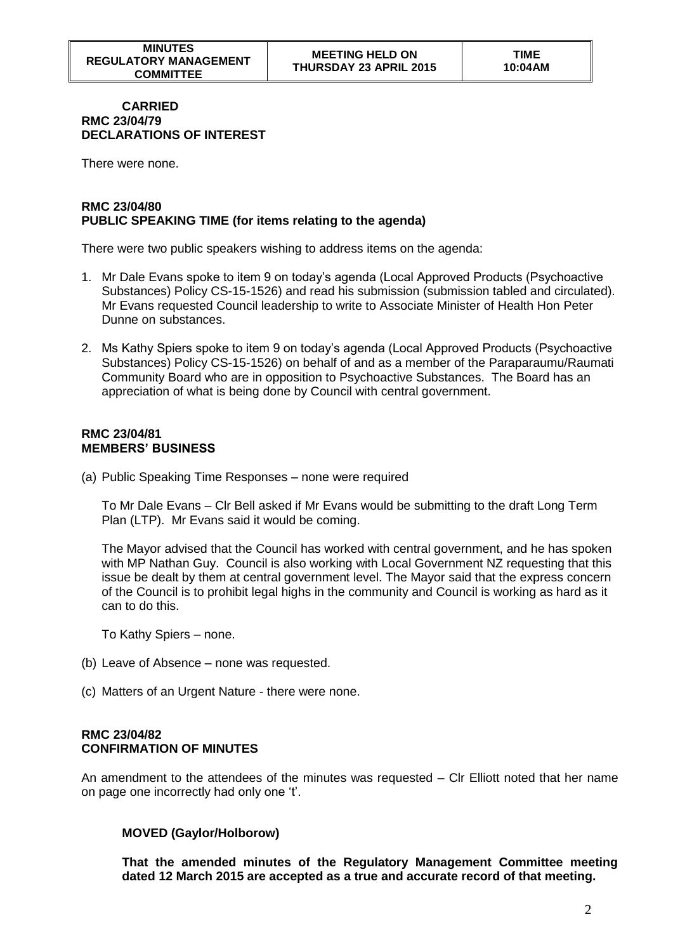#### **CARRIED RMC 23/04/79 DECLARATIONS OF INTEREST**

There were none.

### **RMC 23/04/80 PUBLIC SPEAKING TIME (for items relating to the agenda)**

There were two public speakers wishing to address items on the agenda:

- 1. Mr Dale Evans spoke to item 9 on today's agenda (Local Approved Products (Psychoactive Substances) Policy CS-15-1526) and read his submission (submission tabled and circulated). Mr Evans requested Council leadership to write to Associate Minister of Health Hon Peter Dunne on substances.
- 2. Ms Kathy Spiers spoke to item 9 on today's agenda (Local Approved Products (Psychoactive Substances) Policy CS-15-1526) on behalf of and as a member of the Paraparaumu/Raumati Community Board who are in opposition to Psychoactive Substances. The Board has an appreciation of what is being done by Council with central government.

#### **RMC 23/04/81 MEMBERS' BUSINESS**

(a) Public Speaking Time Responses – none were required

To Mr Dale Evans – Clr Bell asked if Mr Evans would be submitting to the draft Long Term Plan (LTP). Mr Evans said it would be coming.

The Mayor advised that the Council has worked with central government, and he has spoken with MP Nathan Guy. Council is also working with Local Government NZ requesting that this issue be dealt by them at central government level. The Mayor said that the express concern of the Council is to prohibit legal highs in the community and Council is working as hard as it can to do this.

To Kathy Spiers – none.

- (b) Leave of Absence none was requested.
- (c) Matters of an Urgent Nature there were none.

#### **RMC 23/04/82 CONFIRMATION OF MINUTES**

An amendment to the attendees of the minutes was requested – Clr Elliott noted that her name on page one incorrectly had only one 't'.

#### **MOVED (Gaylor/Holborow)**

**That the amended minutes of the Regulatory Management Committee meeting dated 12 March 2015 are accepted as a true and accurate record of that meeting.**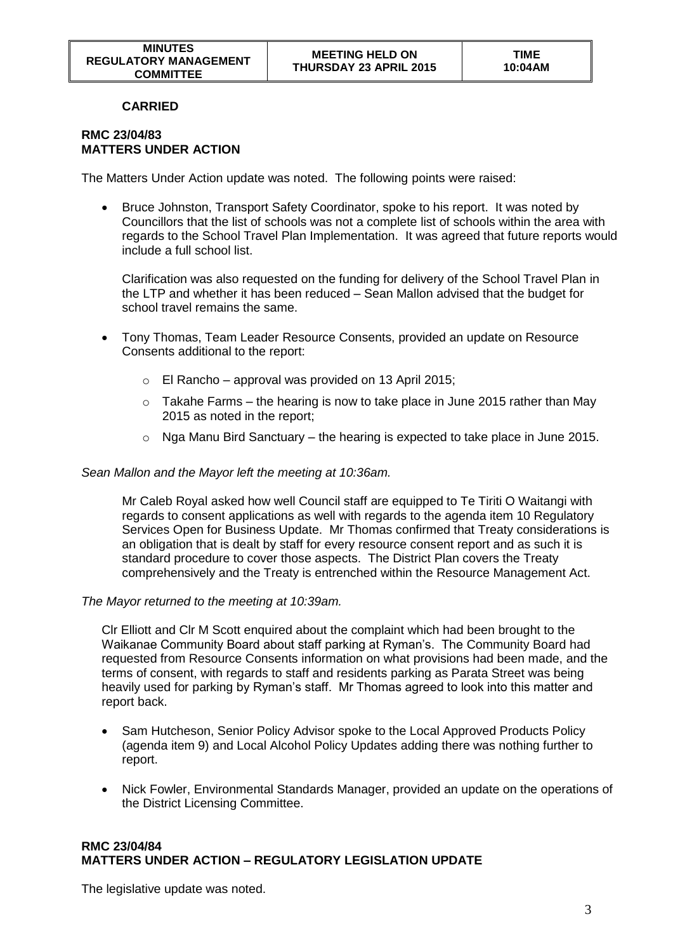## **CARRIED**

#### **RMC 23/04/83 MATTERS UNDER ACTION**

The Matters Under Action update was noted. The following points were raised:

• Bruce Johnston, Transport Safety Coordinator, spoke to his report. It was noted by Councillors that the list of schools was not a complete list of schools within the area with regards to the School Travel Plan Implementation. It was agreed that future reports would include a full school list.

Clarification was also requested on the funding for delivery of the School Travel Plan in the LTP and whether it has been reduced – Sean Mallon advised that the budget for school travel remains the same.

- Tony Thomas, Team Leader Resource Consents, provided an update on Resource Consents additional to the report:
	- $\circ$  El Rancho approval was provided on 13 April 2015;
	- $\circ$  Takahe Farms the hearing is now to take place in June 2015 rather than May 2015 as noted in the report;
	- $\circ$  Nga Manu Bird Sanctuary the hearing is expected to take place in June 2015.

### *Sean Mallon and the Mayor left the meeting at 10:36am.*

Mr Caleb Royal asked how well Council staff are equipped to Te Tiriti O Waitangi with regards to consent applications as well with regards to the agenda item 10 Regulatory Services Open for Business Update. Mr Thomas confirmed that Treaty considerations is an obligation that is dealt by staff for every resource consent report and as such it is standard procedure to cover those aspects. The District Plan covers the Treaty comprehensively and the Treaty is entrenched within the Resource Management Act.

#### *The Mayor returned to the meeting at 10:39am.*

Clr Elliott and Clr M Scott enquired about the complaint which had been brought to the Waikanae Community Board about staff parking at Ryman's. The Community Board had requested from Resource Consents information on what provisions had been made, and the terms of consent, with regards to staff and residents parking as Parata Street was being heavily used for parking by Ryman's staff. Mr Thomas agreed to look into this matter and report back.

- Sam Hutcheson, Senior Policy Advisor spoke to the Local Approved Products Policy (agenda item 9) and Local Alcohol Policy Updates adding there was nothing further to report.
- Nick Fowler, Environmental Standards Manager, provided an update on the operations of the District Licensing Committee.

# **RMC 23/04/84 MATTERS UNDER ACTION – REGULATORY LEGISLATION UPDATE**

The legislative update was noted.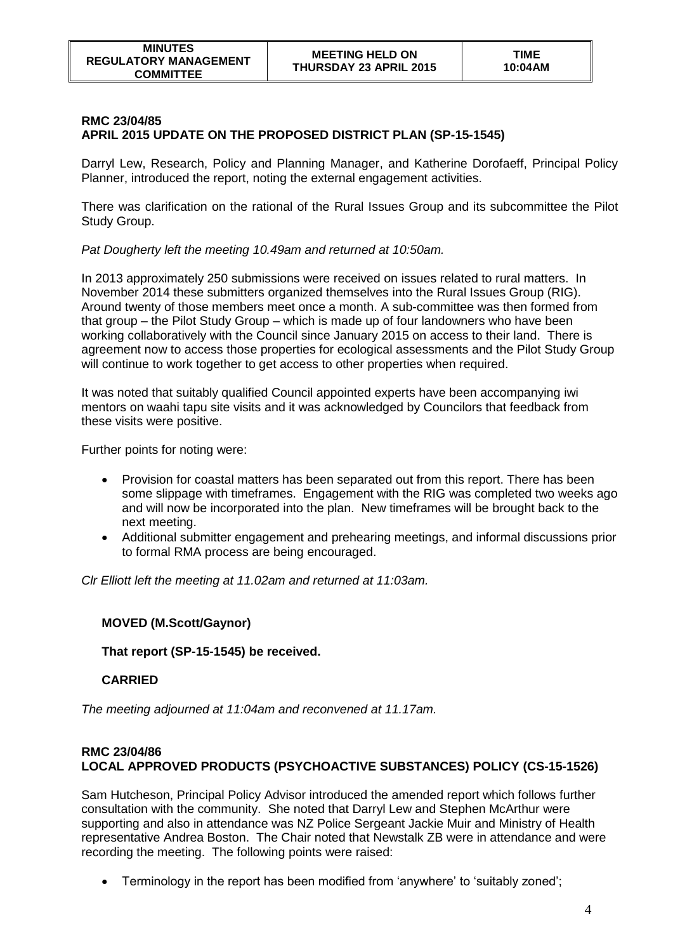#### **RMC 23/04/85 APRIL 2015 UPDATE ON THE PROPOSED DISTRICT PLAN (SP-15-1545)**

Darryl Lew, Research, Policy and Planning Manager, and Katherine Dorofaeff, Principal Policy Planner, introduced the report, noting the external engagement activities.

There was clarification on the rational of the Rural Issues Group and its subcommittee the Pilot Study Group.

*Pat Dougherty left the meeting 10.49am and returned at 10:50am.*

In 2013 approximately 250 submissions were received on issues related to rural matters. In November 2014 these submitters organized themselves into the Rural Issues Group (RIG). Around twenty of those members meet once a month. A sub-committee was then formed from that group – the Pilot Study Group – which is made up of four landowners who have been working collaboratively with the Council since January 2015 on access to their land. There is agreement now to access those properties for ecological assessments and the Pilot Study Group will continue to work together to get access to other properties when required.

It was noted that suitably qualified Council appointed experts have been accompanying iwi mentors on waahi tapu site visits and it was acknowledged by Councilors that feedback from these visits were positive.

Further points for noting were:

- Provision for coastal matters has been separated out from this report. There has been some slippage with timeframes. Engagement with the RIG was completed two weeks ago and will now be incorporated into the plan. New timeframes will be brought back to the next meeting.
- Additional submitter engagement and prehearing meetings, and informal discussions prior to formal RMA process are being encouraged.

*Clr Elliott left the meeting at 11.02am and returned at 11:03am.*

## **MOVED (M.Scott/Gaynor)**

**That report (SP-15-1545) be received.** 

## **CARRIED**

*The meeting adjourned at 11:04am and reconvened at 11.17am.*

# **RMC 23/04/86 LOCAL APPROVED PRODUCTS (PSYCHOACTIVE SUBSTANCES) POLICY (CS-15-1526)**

Sam Hutcheson, Principal Policy Advisor introduced the amended report which follows further consultation with the community. She noted that Darryl Lew and Stephen McArthur were supporting and also in attendance was NZ Police Sergeant Jackie Muir and Ministry of Health representative Andrea Boston. The Chair noted that Newstalk ZB were in attendance and were recording the meeting. The following points were raised:

Terminology in the report has been modified from 'anywhere' to 'suitably zoned';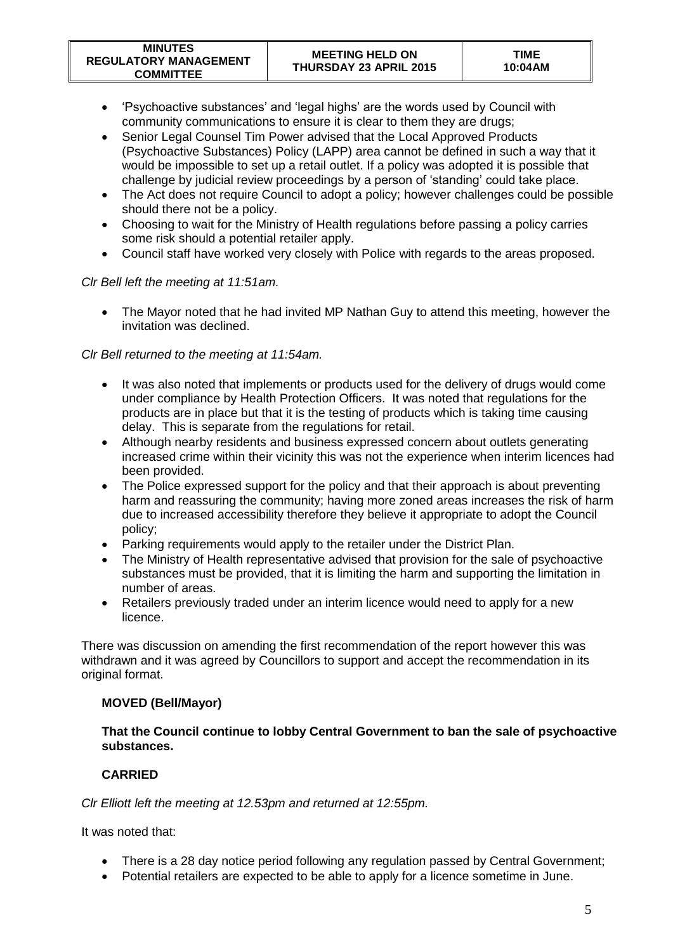- 'Psychoactive substances' and 'legal highs' are the words used by Council with community communications to ensure it is clear to them they are drugs;
- Senior Legal Counsel Tim Power advised that the Local Approved Products (Psychoactive Substances) Policy (LAPP) area cannot be defined in such a way that it would be impossible to set up a retail outlet. If a policy was adopted it is possible that challenge by judicial review proceedings by a person of 'standing' could take place.
- The Act does not require Council to adopt a policy; however challenges could be possible should there not be a policy.
- Choosing to wait for the Ministry of Health regulations before passing a policy carries some risk should a potential retailer apply.
- Council staff have worked very closely with Police with regards to the areas proposed.

# *Clr Bell left the meeting at 11:51am.*

• The Mayor noted that he had invited MP Nathan Guy to attend this meeting, however the invitation was declined.

# *Clr Bell returned to the meeting at 11:54am.*

- It was also noted that implements or products used for the delivery of drugs would come under compliance by Health Protection Officers. It was noted that regulations for the products are in place but that it is the testing of products which is taking time causing delay. This is separate from the regulations for retail.
- Although nearby residents and business expressed concern about outlets generating increased crime within their vicinity this was not the experience when interim licences had been provided.
- The Police expressed support for the policy and that their approach is about preventing harm and reassuring the community; having more zoned areas increases the risk of harm due to increased accessibility therefore they believe it appropriate to adopt the Council policy;
- Parking requirements would apply to the retailer under the District Plan.
- The Ministry of Health representative advised that provision for the sale of psychoactive substances must be provided, that it is limiting the harm and supporting the limitation in number of areas.
- Retailers previously traded under an interim licence would need to apply for a new licence.

There was discussion on amending the first recommendation of the report however this was withdrawn and it was agreed by Councillors to support and accept the recommendation in its original format.

## **MOVED (Bell/Mayor)**

## **That the Council continue to lobby Central Government to ban the sale of psychoactive substances.**

# **CARRIED**

## *Clr Elliott left the meeting at 12.53pm and returned at 12:55pm.*

It was noted that:

- There is a 28 day notice period following any regulation passed by Central Government;
- Potential retailers are expected to be able to apply for a licence sometime in June.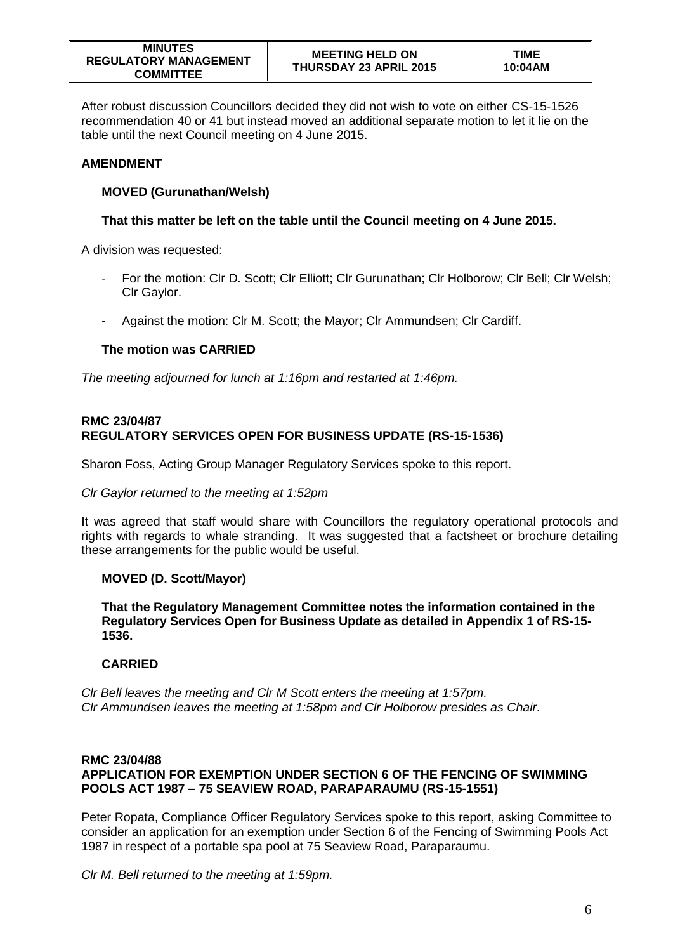After robust discussion Councillors decided they did not wish to vote on either CS-15-1526 recommendation 40 or 41 but instead moved an additional separate motion to let it lie on the table until the next Council meeting on 4 June 2015.

# **AMENDMENT**

## **MOVED (Gurunathan/Welsh)**

# **That this matter be left on the table until the Council meeting on 4 June 2015.**

A division was requested:

- For the motion: Clr D. Scott; Clr Elliott; Clr Gurunathan; Clr Holborow; Clr Bell; Clr Welsh; Clr Gaylor.
- Against the motion: Clr M. Scott; the Mayor; Clr Ammundsen; Clr Cardiff.

# **The motion was CARRIED**

*The meeting adjourned for lunch at 1:16pm and restarted at 1:46pm.*

## **RMC 23/04/87 REGULATORY SERVICES OPEN FOR BUSINESS UPDATE (RS-15-1536)**

Sharon Foss, Acting Group Manager Regulatory Services spoke to this report.

#### *Clr Gaylor returned to the meeting at 1:52pm*

It was agreed that staff would share with Councillors the regulatory operational protocols and rights with regards to whale stranding. It was suggested that a factsheet or brochure detailing these arrangements for the public would be useful.

## **MOVED (D. Scott/Mayor)**

**That the Regulatory Management Committee notes the information contained in the Regulatory Services Open for Business Update as detailed in Appendix 1 of RS-15- 1536.** 

## **CARRIED**

*Clr Bell leaves the meeting and Clr M Scott enters the meeting at 1:57pm. Clr Ammundsen leaves the meeting at 1:58pm and Clr Holborow presides as Chair.*

### **RMC 23/04/88 APPLICATION FOR EXEMPTION UNDER SECTION 6 OF THE FENCING OF SWIMMING POOLS ACT 1987 – 75 SEAVIEW ROAD, PARAPARAUMU (RS-15-1551)**

Peter Ropata, Compliance Officer Regulatory Services spoke to this report, asking Committee to consider an application for an exemption under Section 6 of the Fencing of Swimming Pools Act 1987 in respect of a portable spa pool at 75 Seaview Road, Paraparaumu.

*Clr M. Bell returned to the meeting at 1:59pm.*